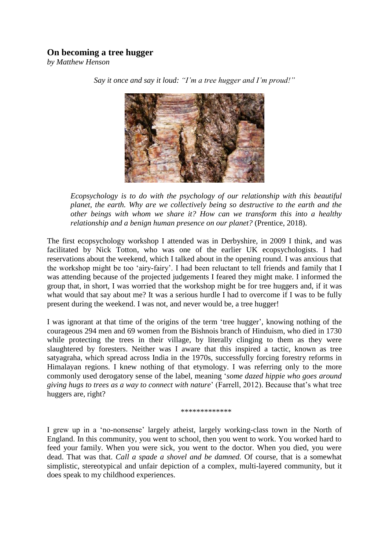# **On becoming a tree hugger**

*by Matthew Henson*



*Say it once and say it loud: "I'm a tree hugger and I'm proud!"*

*Ecopsychology is to do with the psychology of our relationship with this beautiful planet, the earth. Why are we collectively being so destructive to the earth and the other beings with whom we share it? How can we transform this into a healthy relationship and a benign human presence on our planet?* (Prentice, 2018).

The first ecopsychology workshop I attended was in Derbyshire, in 2009 I think, and was facilitated by Nick Totton, who was one of the earlier UK ecopsychologists. I had reservations about the weekend, which I talked about in the opening round. I was anxious that the workshop might be too 'airy-fairy'. I had been reluctant to tell friends and family that I was attending because of the projected judgements I feared they might make. I informed the group that, in short, I was worried that the workshop might be for tree huggers and, if it was what would that say about me? It was a serious hurdle I had to overcome if I was to be fully present during the weekend. I was not, and never would be, a tree hugger!

I was ignorant at that time of the origins of the term 'tree hugger', knowing nothing of the courageous 294 men and 69 women from the Bishnois branch of Hinduism, who died in 1730 while protecting the trees in their village, by literally clinging to them as they were slaughtered by foresters. Neither was I aware that this inspired a tactic, known as tree satyagraha, which spread across India in the 1970s, successfully forcing forestry reforms in Himalayan regions. I knew nothing of that etymology. I was referring only to the more commonly used derogatory sense of the label, meaning '*some dazed hippie who goes around giving hugs to trees as a way to connect with nature*' (Farrell, 2012). Because that's what tree huggers are, right?

\*\*\*\*\*\*\*\*\*\*\*\*

I grew up in a 'no-nonsense' largely atheist, largely working-class town in the North of England. In this community, you went to school, then you went to work. You worked hard to feed your family. When you were sick, you went to the doctor. When you died, you were dead. That was that. *Call a spade a shovel and be damned.* Of course, that is a somewhat simplistic, stereotypical and unfair depiction of a complex, multi-layered community, but it does speak to my childhood experiences.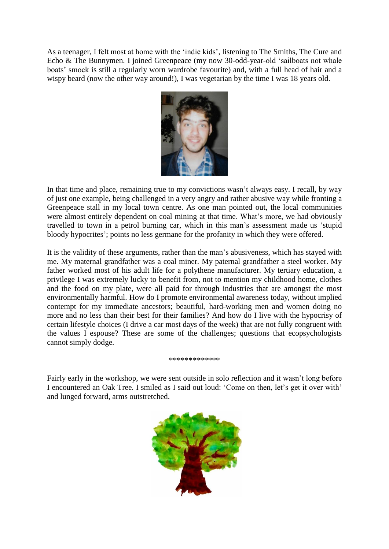As a teenager, I felt most at home with the 'indie kids', listening to The Smiths, The Cure and Echo & The Bunnymen. I joined Greenpeace (my now 30-odd-year-old 'sailboats not whale boats' smock is still a regularly worn wardrobe favourite) and, with a full head of hair and a wispy beard (now the other way around!), I was vegetarian by the time I was 18 years old.



In that time and place, remaining true to my convictions wasn't always easy. I recall, by way of just one example, being challenged in a very angry and rather abusive way while fronting a Greenpeace stall in my local town centre. As one man pointed out, the local communities were almost entirely dependent on coal mining at that time. What's more, we had obviously travelled to town in a petrol burning car, which in this man's assessment made us 'stupid bloody hypocrites'; points no less germane for the profanity in which they were offered.

It is the validity of these arguments, rather than the man's abusiveness, which has stayed with me. My maternal grandfather was a coal miner. My paternal grandfather a steel worker. My father worked most of his adult life for a polythene manufacturer. My tertiary education, a privilege I was extremely lucky to benefit from, not to mention my childhood home, clothes and the food on my plate, were all paid for through industries that are amongst the most environmentally harmful. How do I promote environmental awareness today, without implied contempt for my immediate ancestors; beautiful, hard-working men and women doing no more and no less than their best for their families? And how do I live with the hypocrisy of certain lifestyle choices (I drive a car most days of the week) that are not fully congruent with the values I espouse? These are some of the challenges; questions that ecopsychologists cannot simply dodge.

### \*\*\*\*\*\*\*\*\*\*\*\*\*

Fairly early in the workshop, we were sent outside in solo reflection and it wasn't long before I encountered an Oak Tree. I smiled as I said out loud: 'Come on then, let's get it over with' and lunged forward, arms outstretched.

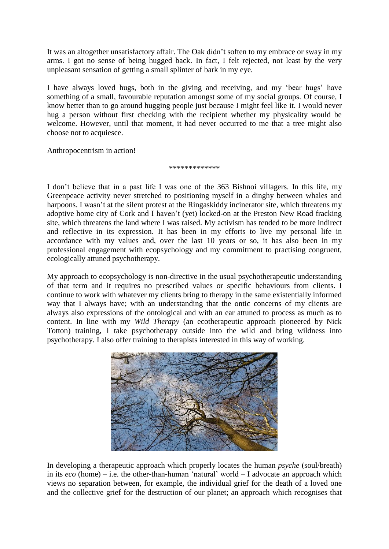It was an altogether unsatisfactory affair. The Oak didn't soften to my embrace or sway in my arms. I got no sense of being hugged back. In fact, I felt rejected, not least by the very unpleasant sensation of getting a small splinter of bark in my eye.

I have always loved hugs, both in the giving and receiving, and my 'bear hugs' have something of a small, favourable reputation amongst some of my social groups. Of course, I know better than to go around hugging people just because I might feel like it. I would never hug a person without first checking with the recipient whether my physicality would be welcome. However, until that moment, it had never occurred to me that a tree might also choose not to acquiesce.

Anthropocentrism in action!

## \*\*\*\*\*\*\*\*\*\*\*\*\*

I don't believe that in a past life I was one of the 363 Bishnoi villagers. In this life, my Greenpeace activity never stretched to positioning myself in a dinghy between whales and harpoons. I wasn't at the silent protest at the Ringaskiddy incinerator site, which threatens my adoptive home city of Cork and I haven't (yet) locked-on at the Preston New Road fracking site, which threatens the land where I was raised. My activism has tended to be more indirect and reflective in its expression. It has been in my efforts to live my personal life in accordance with my values and, over the last 10 years or so, it has also been in my professional engagement with ecopsychology and my commitment to practising congruent, ecologically attuned psychotherapy.

My approach to ecopsychology is non-directive in the usual psychotherapeutic understanding of that term and it requires no prescribed values or specific behaviours from clients. I continue to work with whatever my clients bring to therapy in the same existentially informed way that I always have; with an understanding that the ontic concerns of my clients are always also expressions of the ontological and with an ear attuned to process as much as to content. In line with my *Wild Therapy* (an ecotherapeutic approach pioneered by Nick Totton) training, I take psychotherapy outside into the wild and bring wildness into psychotherapy. I also offer training to therapists interested in this way of working.



In developing a therapeutic approach which properly locates the human *psyche* (soul/breath) in its *eco* (home) – i.e. the other-than-human 'natural' world – I advocate an approach which views no separation between, for example, the individual grief for the death of a loved one and the collective grief for the destruction of our planet; an approach which recognises that